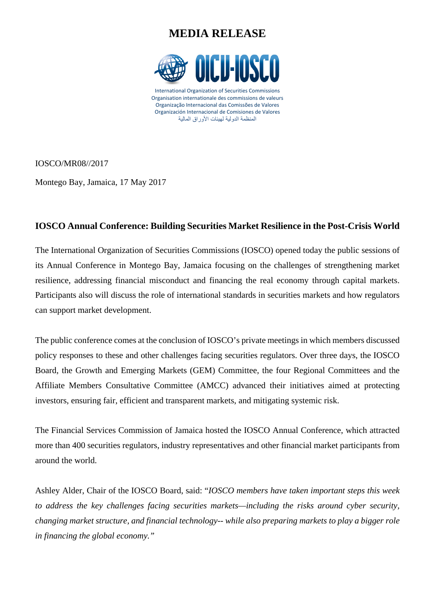# **MEDIA RELEASE**



IOSCO/MR08//2017

Montego Bay, Jamaica, 17 May 2017

## **IOSCO Annual Conference: Building Securities Market Resilience in the Post-Crisis World**

The International Organization of Securities Commissions (IOSCO) opened today the public sessions of its Annual Conference in Montego Bay, Jamaica focusing on the challenges of strengthening market resilience, addressing financial misconduct and financing the real economy through capital markets. Participants also will discuss the role of international standards in securities markets and how regulators can support market development.

The public conference comes at the conclusion of IOSCO's private meetings in which members discussed policy responses to these and other challenges facing securities regulators. Over three days, the IOSCO Board, the Growth and Emerging Markets (GEM) Committee, the four Regional Committees and the Affiliate Members Consultative Committee (AMCC) advanced their initiatives aimed at protecting investors, ensuring fair, efficient and transparent markets, and mitigating systemic risk.

The Financial Services Commission of Jamaica hosted the IOSCO Annual Conference, which attracted more than 400 securities regulators, industry representatives and other financial market participants from around the world.

Ashley Alder, Chair of the IOSCO Board, said: "*IOSCO members have taken important steps this week to address the key challenges facing securities markets—including the risks around cyber security, changing market structure, and financial technology-- while also preparing markets to play a bigger role in financing the global economy."*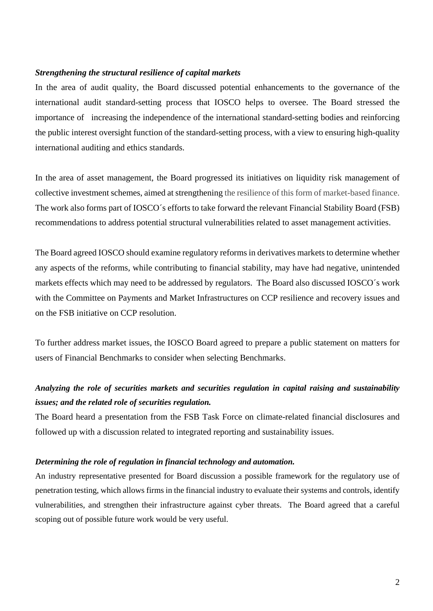### *Strengthening the structural resilience of capital markets*

In the area of audit quality, the Board discussed potential enhancements to the governance of the international audit standard-setting process that IOSCO helps to oversee. The Board stressed the importance of increasing the independence of the international standard-setting bodies and reinforcing the public interest oversight function of the standard-setting process, with a view to ensuring high-quality international auditing and ethics standards.

In the area of asset management, the Board progressed its initiatives on liquidity risk management of collective investment schemes, aimed at strengthening the resilience of this form of market-based finance. The work also forms part of IOSCO´s efforts to take forward the relevant Financial Stability Board (FSB) recommendations to address potential structural vulnerabilities related to asset management activities.

The Board agreed IOSCO should examine regulatory reforms in derivatives markets to determine whether any aspects of the reforms, while contributing to financial stability, may have had negative, unintended markets effects which may need to be addressed by regulators. The Board also discussed IOSCO´s work with the Committee on Payments and Market Infrastructures on CCP resilience and recovery issues and on the FSB initiative on CCP resolution.

To further address market issues, the IOSCO Board agreed to prepare a public statement on matters for users of Financial Benchmarks to consider when selecting Benchmarks.

## *Analyzing the role of securities markets and securities regulation in capital raising and sustainability issues; and the related role of securities regulation.*

The Board heard a presentation from the FSB Task Force on climate-related financial disclosures and followed up with a discussion related to integrated reporting and sustainability issues.

### *Determining the role of regulation in financial technology and automation.*

An industry representative presented for Board discussion a possible framework for the regulatory use of penetration testing, which allows firms in the financial industry to evaluate their systems and controls, identify vulnerabilities, and strengthen their infrastructure against cyber threats. The Board agreed that a careful scoping out of possible future work would be very useful.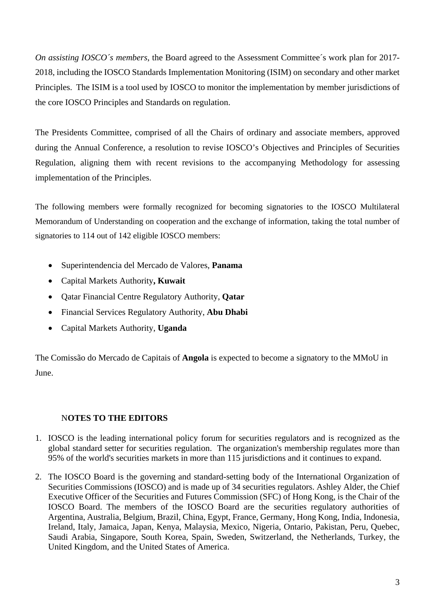*On assisting IOSCO´s members*, the Board agreed to the Assessment Committee´s work plan for 2017- 2018, including the IOSCO Standards Implementation Monitoring (ISIM) on secondary and other market Principles. The ISIM is a tool used by IOSCO to monitor the implementation by member jurisdictions of the core IOSCO Principles and Standards on regulation.

The Presidents Committee, comprised of all the Chairs of ordinary and associate members, approved during the Annual Conference, a resolution to revise IOSCO's Objectives and Principles of Securities Regulation, aligning them with recent revisions to the accompanying Methodology for assessing implementation of the Principles.

The following members were formally recognized for becoming signatories to the IOSCO Multilateral Memorandum of Understanding on cooperation and the exchange of information, taking the total number of signatories to 114 out of 142 eligible IOSCO members:

- Superintendencia del Mercado de Valores, **Panama**
- Capital Markets Authority**, Kuwait**
- Qatar Financial Centre Regulatory Authority, **Qatar**
- Financial Services Regulatory Authority, **Abu Dhabi**
- Capital Markets Authority, **Uganda**

The Comissão do Mercado de Capitais of **Angola** is expected to become a signatory to the MMoU in June.

## N**OTES TO THE EDITORS**

- 1. IOSCO is the leading international policy forum for securities regulators and is recognized as the global standard setter for securities regulation. The organization's membership regulates more than 95% of the world's securities markets in more than 115 jurisdictions and it continues to expand.
- 2. The IOSCO Board is the governing and standard-setting body of the International Organization of Securities Commissions (IOSCO) and is made up of 34 securities regulators. Ashley Alder, the Chief Executive Officer of the Securities and Futures Commission (SFC) of Hong Kong, is the Chair of the IOSCO Board. The members of the IOSCO Board are the securities regulatory authorities of Argentina, Australia, Belgium, Brazil, China, Egypt, France, Germany, Hong Kong, India, Indonesia, Ireland, Italy, Jamaica, Japan, Kenya, Malaysia, Mexico, Nigeria, Ontario, Pakistan, Peru, Quebec, Saudi Arabia, Singapore, South Korea, Spain, Sweden, Switzerland, the Netherlands, Turkey, the United Kingdom, and the United States of America.